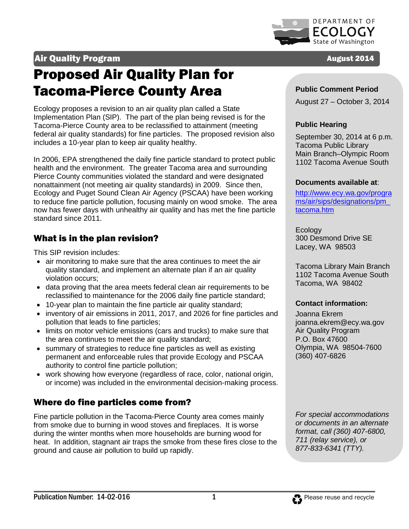

# Air Quality Program **August 2014 August 2014**

# Proposed Air Quality Plan for Tacoma-Pierce County Area

Ecology proposes a revision to an air quality plan called a State Implementation Plan (SIP). The part of the plan being revised is for the Tacoma-Pierce County area to be reclassified to attainment (meeting federal air quality standards) for fine particles. The proposed revision also includes a 10-year plan to keep air quality healthy.

I

In 2006, EPA strengthened the daily fine particle standard to protect public health and the environment. The greater Tacoma area and surrounding Pierce County communities violated the standard and were designated nonattainment (not meeting air quality standards) in 2009. Since then, Ecology and Puget Sound Clean Air Agency (PSCAA) have been working to reduce fine particle pollution, focusing mainly on wood smoke. The area now has fewer days with unhealthy air quality and has met the fine particle standard since 2011.

# What is in the plan revision?

This SIP revision includes:

- air monitoring to make sure that the area continues to meet the air quality standard, and implement an alternate plan if an air quality violation occurs;
- data proving that the area meets federal clean air requirements to be reclassified to maintenance for the 2006 daily fine particle standard;
- 10-year plan to maintain the fine particle air quality standard;
- inventory of air emissions in 2011, 2017, and 2026 for fine particles and pollution that leads to fine particles;
- limits on motor vehicle emissions (cars and trucks) to make sure that the area continues to meet the air quality standard;
- summary of strategies to reduce fine particles as well as existing permanent and enforceable rules that provide Ecology and PSCAA authority to control fine particle pollution;
- work showing how everyone (regardless of race, color, national origin, or income) was included in the environmental decision-making process.

# Where do fine particles come from?

Fine particle pollution in the Tacoma-Pierce County area comes mainly from smoke due to burning in wood stoves and fireplaces. It is worse during the winter months when more households are burning wood for heat. In addition, stagnant air traps the smoke from these fires close to the ground and cause air pollution to build up rapidly.

#### **Public Comment Period**

August 27 – October 3, 2014

### **Public Hearing**

September 30, 2014 at 6 p.m. Tacoma Public Library Main Branch–Olympic Room 1102 Tacoma Avenue South

#### **Documents available at**:

[http://www.ecy.wa.gov/progra](http://www.ecy.wa.gov/programs/air/sips/designations/pm_tacoma.htm) [ms/air/sips/designations/pm\\_](http://www.ecy.wa.gov/programs/air/sips/designations/pm_tacoma.htm)  [tacoma.htm](http://www.ecy.wa.gov/programs/air/sips/designations/pm_tacoma.htm)

Ecology 300 Desmond Drive SE Lacey, WA 98503

Tacoma Library Main Branch 1102 Tacoma Avenue South Tacoma, WA 98402

#### **Contact information:**

Joanna Ekrem joanna.ekrem@ecy.wa.gov Air Quality Program P.O. Box 47600 Olympia, WA 98504-7600 (360) 407-6826

*For special accommodations or documents in an alternate format, call (360) 407-6800, 711 (relay service), or 877-833-6341 (TTY).*